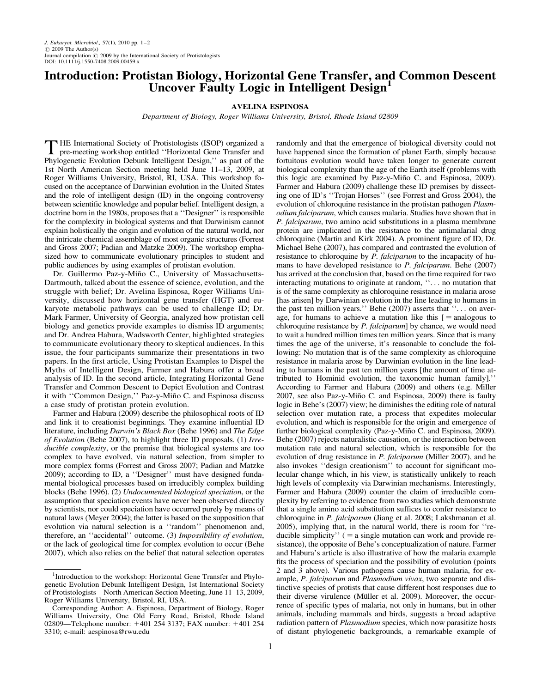## Introduction: Protistan Biology, Horizontal Gene Transfer, and Common Descent Uncover Faulty Logic in Intelligent Design<sup>1</sup>

## AVELINA ESPINOSA

Department of Biology, Roger Williams University, Bristol, Rhode Island 02809

THE International Society of Protistologists (ISOP) organized a<br>pre-meeting workshop entitled ''Horizontal Gene Transfer and<br>Photographic Forbition Debuth Intelligent Decise '' as northern felter Phylogenetic Evolution Debunk Intelligent Design,'' as part of the 1st North American Section meeting held June 11–13, 2009, at Roger Williams University, Bristol, RI, USA. This workshop focused on the acceptance of Darwinian evolution in the United States and the role of intelligent design (ID) in the ongoing controversy between scientific knowledge and popular belief. Intelligent design, a doctrine born in the 1980s, proposes that a ''Designer'' is responsible for the complexity in biological systems and that Darwinism cannot explain holistically the origin and evolution of the natural world, nor the intricate chemical assemblage of most organic structures (Forrest and Gross 2007; Padian and Matzke 2009). The workshop emphasized how to communicate evolutionary principles to student and public audiences by using examples of protistan evolution.

Dr. Guillermo Paz-y-Miño C., University of Massachusetts-Dartmouth, talked about the essence of science, evolution, and the struggle with belief; Dr. Avelina Espinosa, Roger Williams University, discussed how horizontal gene transfer (HGT) and eukaryote metabolic pathways can be used to challenge ID; Dr. Mark Farmer, University of Georgia, analyzed how protistan cell biology and genetics provide examples to dismiss ID arguments; and Dr. Andrea Habura, Wadsworth Center, highlighted strategies to communicate evolutionary theory to skeptical audiences. In this issue, the four participants summarize their presentations in two papers. In the first article, Using Protistan Examples to Dispel the Myths of Intelligent Design, Farmer and Habura offer a broad analysis of ID. In the second article, Integrating Horizontal Gene Transfer and Common Descent to Depict Evolution and Contrast it with "Common Design," Paz-y-Miño C. and Espinosa discuss a case study of protistan protein evolution.

Farmer and Habura (2009) describe the philosophical roots of ID and link it to creationist beginnings. They examine influential ID literature, including Darwin's Black Box (Behe 1996) and The Edge of Evolution (Behe 2007), to highlight three ID proposals. (1) Irreducible complexity, or the premise that biological systems are too complex to have evolved, via natural selection, from simpler to more complex forms (Forrest and Gross 2007; Padian and Matzke 2009); according to ID, a ''Designer'' must have designed fundamental biological processes based on irreducibly complex building blocks (Behe 1996). (2) Undocumented biological speciation, or the assumption that speciation events have never been observed directly by scientists, nor could speciation have occurred purely by means of natural laws (Meyer 2004); the latter is based on the supposition that evolution via natural selection is a ''random'' phenomenon and, therefore, an ''accidental'' outcome. (3) Impossibility of evolution, or the lack of geological time for complex evolution to occur (Behe 2007), which also relies on the belief that natural selection operates

randomly and that the emergence of biological diversity could not have happened since the formation of planet Earth, simply because fortuitous evolution would have taken longer to generate current biological complexity than the age of the Earth itself (problems with this logic are examined by Paz-y-Miño C. and Espinosa, 2009). Farmer and Habura (2009) challenge these ID premises by dissecting one of ID's ''Trojan Horses'' (see Forrest and Gross 2004), the evolution of chloroquine resistance in the protistan pathogen *Plasm*odium falciparum, which causes malaria. Studies have shown that in P. falciparum, two amino acid substitutions in a plasma membrane protein are implicated in the resistance to the antimalarial drug chloroquine (Martin and Kirk 2004). A prominent figure of ID, Dr. Michael Behe (2007), has compared and contrasted the evolution of resistance to chloroquine by *P. falciparum* to the incapacity of humans to have developed resistance to P. falciparum. Behe (2007) has arrived at the conclusion that, based on the time required for two interacting mutations to originate at random, ''. . . no mutation that is of the same complexity as chloroquine resistance in malaria arose [has arisen] by Darwinian evolution in the line leading to humans in the past ten million years.'' Behe (2007) asserts that "... on average, for humans to achieve a mutation like this  $[$  = analogous to chloroquine resistance by P. falciparum] by chance, we would need to wait a hundred million times ten million years. Since that is many times the age of the universe, it's reasonable to conclude the following: No mutation that is of the same complexity as chloroquine resistance in malaria arose by Darwinian evolution in the line leading to humans in the past ten million years [the amount of time attributed to Hominid evolution, the taxonomic human family].'' According to Farmer and Habura (2009) and others (e.g. Miller 2007, see also Paz-y-Miño C. and Espinosa, 2009) there is faulty logic in Behe's (2007) view; he diminishes the editing role of natural selection over mutation rate, a process that expedites molecular evolution, and which is responsible for the origin and emergence of further biological complexity (Paz-y-Miño C. and Espinosa, 2009). Behe (2007) rejects naturalistic causation, or the interaction between mutation rate and natural selection, which is responsible for the evolution of drug resistance in *P. falciparum* (Miller 2007), and he also invokes ''design creationism'' to account for significant molecular change which, in his view, is statistically unlikely to reach high levels of complexity via Darwinian mechanisms. Interestingly, Farmer and Habura (2009) counter the claim of irreducible complexity by referring to evidence from two studies which demonstrate that a single amino acid substitution suffices to confer resistance to chloroquine in P. falciparum (Jiang et al. 2008; Lakshmanan et al. 2005), implying that, in the natural world, there is room for ''reducible simplicity''  $( = a \text{ single mutation can work and provide re-})$ sistance), the opposite of Behe's conceptualization of nature. Farmer and Habura's article is also illustrative of how the malaria example fits the process of speciation and the possibility of evolution (points 2 and 3 above). Various pathogens cause human malaria, for example, P. falciparum and Plasmodium vivax, two separate and distinctive species of protists that cause different host responses due to their diverse virulence (Müller et al. 2009). Moreover, the occurrence of specific types of malaria, not only in humans, but in other animals, including mammals and birds, suggests a broad adaptive radiation pattern of *Plasmodium* species, which now parasitize hosts of distant phylogenetic backgrounds, a remarkable example of

<sup>&</sup>lt;sup>1</sup>Introduction to the workshop: Horizontal Gene Transfer and Phylogenetic Evolution Debunk Intelligent Design, 1st International Society of Protistologists—North American Section Meeting, June 11–13, 2009, Roger Williams University, Bristol, RI, USA.

Corresponding Author: A. Espinosa, Department of Biology, Roger Williams University, One Old Ferry Road, Bristol, Rhode Island 02809—Telephone number: +401 254 3137; FAX number: +401 254 3310; e-mail: [aespinosa@rwu.edu](i:/BWUS/JEU/3935-459/aespinosa@rwu.edu)